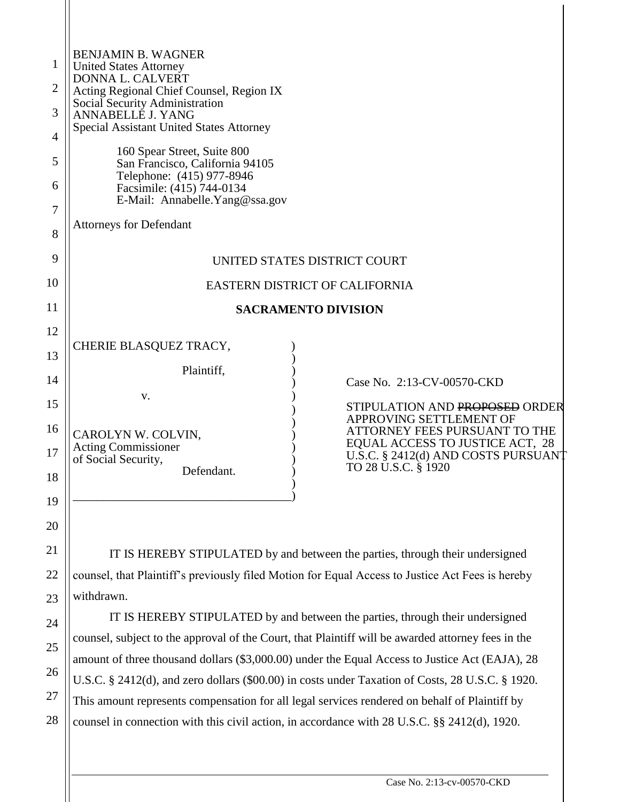| 1  | <b>BENJAMIN B. WAGNER</b><br><b>United States Attorney</b>                                                                                                                                    |  |  |  |  |
|----|-----------------------------------------------------------------------------------------------------------------------------------------------------------------------------------------------|--|--|--|--|
| 2  | DONNA L. CALVERT<br>Acting Regional Chief Counsel, Region IX                                                                                                                                  |  |  |  |  |
| 3  | Social Security Administration<br>ANNABELLE J. YANG                                                                                                                                           |  |  |  |  |
| 4  | <b>Special Assistant United States Attorney</b>                                                                                                                                               |  |  |  |  |
| 5  | 160 Spear Street, Suite 800<br>San Francisco, California 94105                                                                                                                                |  |  |  |  |
| 6  | Telephone: (415) 977-8946<br>Facsimile: (415) 744-0134<br>E-Mail: Annabelle. Yang@ssa.gov                                                                                                     |  |  |  |  |
| 7  | <b>Attorneys for Defendant</b>                                                                                                                                                                |  |  |  |  |
| 8  |                                                                                                                                                                                               |  |  |  |  |
| 9  | UNITED STATES DISTRICT COURT                                                                                                                                                                  |  |  |  |  |
| 10 | EASTERN DISTRICT OF CALIFORNIA                                                                                                                                                                |  |  |  |  |
| 11 | <b>SACRAMENTO DIVISION</b>                                                                                                                                                                    |  |  |  |  |
| 12 | CHERIE BLASQUEZ TRACY,                                                                                                                                                                        |  |  |  |  |
| 13 |                                                                                                                                                                                               |  |  |  |  |
| 14 | Plaintiff,<br>Case No. 2:13-CV-00570-CKD                                                                                                                                                      |  |  |  |  |
| 15 | v.<br>STIPULATION AND PROPOSED ORDER                                                                                                                                                          |  |  |  |  |
| 16 | APPROVING SETTLEMENT OF<br>ATTORNEY FEES PURSUANT TO THE<br>CAROLYN W. COLVIN,                                                                                                                |  |  |  |  |
| 17 | EQUAL ACCESS TO JUSTICE ACT, 28<br><b>Acting Commissioner</b><br>U.S.C. § 2412(d) AND COSTS PURSUANT<br>of Social Security,                                                                   |  |  |  |  |
| 18 | TO 28 U.S.C. § 1920<br>Defendant.                                                                                                                                                             |  |  |  |  |
| 19 |                                                                                                                                                                                               |  |  |  |  |
| 20 |                                                                                                                                                                                               |  |  |  |  |
| 21 | IT IS HEREBY STIPULATED by and between the parties, through their undersigned                                                                                                                 |  |  |  |  |
| 22 | counsel, that Plaintiff's previously filed Motion for Equal Access to Justice Act Fees is hereby                                                                                              |  |  |  |  |
| 23 | withdrawn.                                                                                                                                                                                    |  |  |  |  |
| 24 | IT IS HEREBY STIPULATED by and between the parties, through their undersigned<br>counsel, subject to the approval of the Court, that Plaintiff will be awarded attorney fees in the           |  |  |  |  |
| 25 |                                                                                                                                                                                               |  |  |  |  |
| 26 | amount of three thousand dollars (\$3,000.00) under the Equal Access to Justice Act (EAJA), 28                                                                                                |  |  |  |  |
| 27 | U.S.C. § 2412(d), and zero dollars (\$00.00) in costs under Taxation of Costs, 28 U.S.C. § 1920.                                                                                              |  |  |  |  |
| 28 | This amount represents compensation for all legal services rendered on behalf of Plaintiff by<br>counsel in connection with this civil action, in accordance with 28 U.S.C. §§ 2412(d), 1920. |  |  |  |  |
|    |                                                                                                                                                                                               |  |  |  |  |

 $\mathbf{\mathsf{I}}$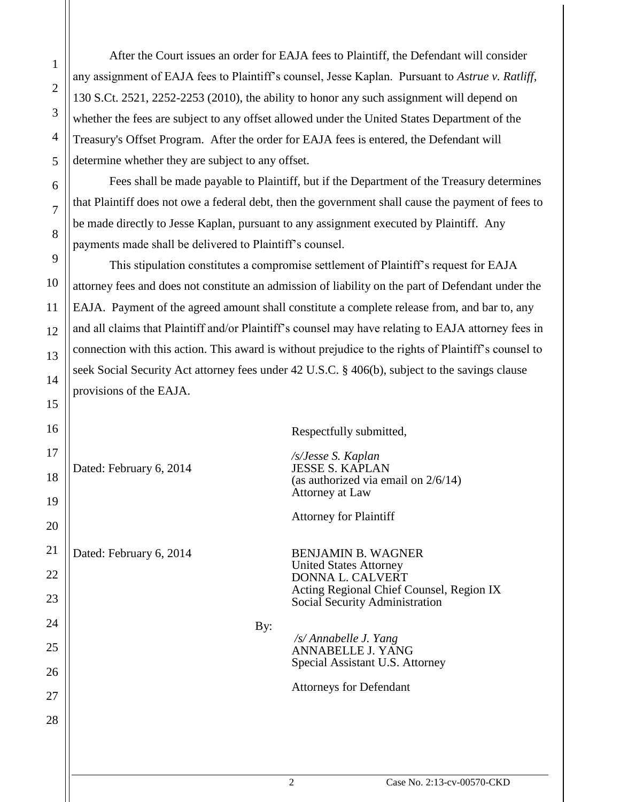After the Court issues an order for EAJA fees to Plaintiff, the Defendant will consider any assignment of EAJA fees to Plaintiff's counsel, Jesse Kaplan. Pursuant to *Astrue v. Ratliff*, 130 S.Ct. 2521, 2252-2253 (2010), the ability to honor any such assignment will depend on whether the fees are subject to any offset allowed under the United States Department of the Treasury's Offset Program. After the order for EAJA fees is entered, the Defendant will determine whether they are subject to any offset.

Fees shall be made payable to Plaintiff, but if the Department of the Treasury determines that Plaintiff does not owe a federal debt, then the government shall cause the payment of fees to be made directly to Jesse Kaplan, pursuant to any assignment executed by Plaintiff. Any payments made shall be delivered to Plaintiff's counsel.

This stipulation constitutes a compromise settlement of Plaintiff's request for EAJA attorney fees and does not constitute an admission of liability on the part of Defendant under the EAJA. Payment of the agreed amount shall constitute a complete release from, and bar to, any and all claims that Plaintiff and/or Plaintiff's counsel may have relating to EAJA attorney fees in connection with this action. This award is without prejudice to the rights of Plaintiff's counsel to seek Social Security Act attorney fees under 42 U.S.C. § 406(b), subject to the savings clause provisions of the EAJA.

| 16 |                         |                                 | Respectfully submitted,                                                    |
|----|-------------------------|---------------------------------|----------------------------------------------------------------------------|
| 17 | Dated: February 6, 2014 |                                 | /s/Jesse S. Kaplan                                                         |
| 18 |                         |                                 | <b>JESSE S. KAPLAN</b><br>(as authorized via email on $2/6/14$ )           |
| 19 |                         |                                 | Attorney at Law                                                            |
| 20 |                         |                                 | <b>Attorney for Plaintiff</b>                                              |
| 21 | Dated: February 6, 2014 | <b>BENJAMIN B. WAGNER</b>       |                                                                            |
| 22 |                         |                                 | <b>United States Attorney</b><br>DONNA L. CALVERT                          |
| 23 |                         |                                 | Acting Regional Chief Counsel, Region IX<br>Social Security Administration |
| 24 |                         | By:                             |                                                                            |
| 25 |                         |                                 | /s/ Annabelle J. Yang<br>ANNABELLE J. YANG                                 |
| 26 |                         | Special Assistant U.S. Attorney |                                                                            |
| 27 |                         |                                 | <b>Attorneys for Defendant</b>                                             |
| 28 |                         |                                 |                                                                            |
|    |                         |                                 |                                                                            |
|    |                         |                                 |                                                                            |

1